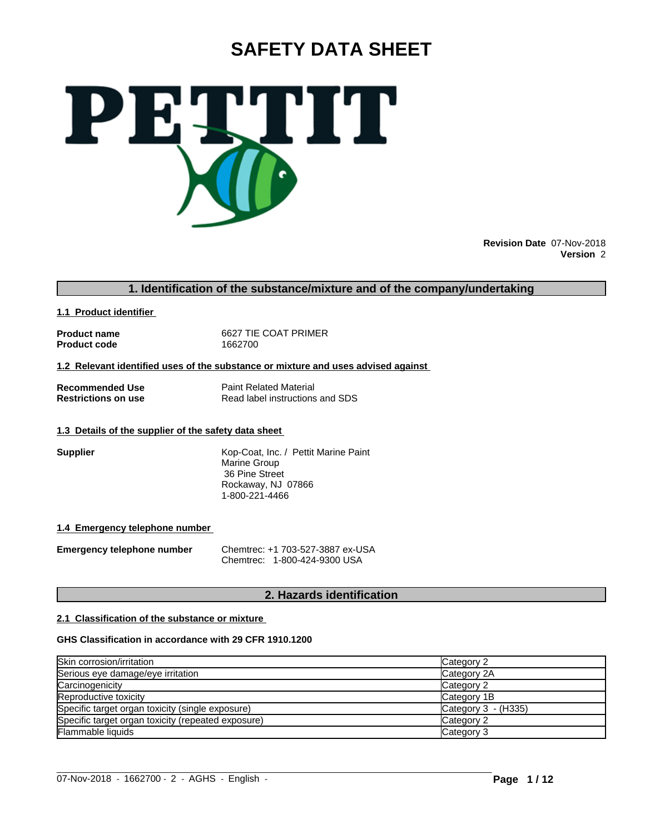# **SAFETY DATA SHEET**



**Revision Date** 07-Nov-2018 **Version** 2

## **1. Identification of the substance/mixture and of the company/undertaking**

**1.1 Product identifier** 

**Product code** 

**Product name** 6627 TIE COAT PRIMER<br> **Product code** 1662700

**1.2 Relevant identified uses of the substance or mixture and uses advised against**

**Recommended Use**<br> **Restrictions on use**<br> **Read label instructions** 

**Read label instructions and SDS** 

## **1.3 Details of the supplier of the safety data sheet**

**Supplier** Kop-Coat, Inc. / Pettit Marine Paint Marine Group 36 Pine Street Rockaway, NJ 07866 1-800-221-4466

## **1.4 Emergency telephone number**

**Emergency telephone number** Chemtrec: +1 703-527-3887 ex-USA Chemtrec: 1-800-424-9300 USA

## **2. Hazards identification**

## **2.1 Classification of the substance or mixture**

## **GHS Classification in accordance with 29 CFR 1910.1200**

| Skin corrosion/irritation                          | Category 2            |
|----------------------------------------------------|-----------------------|
| Serious eye damage/eye irritation                  | Category 2A           |
| Carcinogenicity                                    | Category 2            |
| Reproductive toxicity                              | Category 1B           |
| Specific target organ toxicity (single exposure)   | Category $3 - (H335)$ |
| Specific target organ toxicity (repeated exposure) | Category 2            |
| Flammable liquids                                  | Category 3            |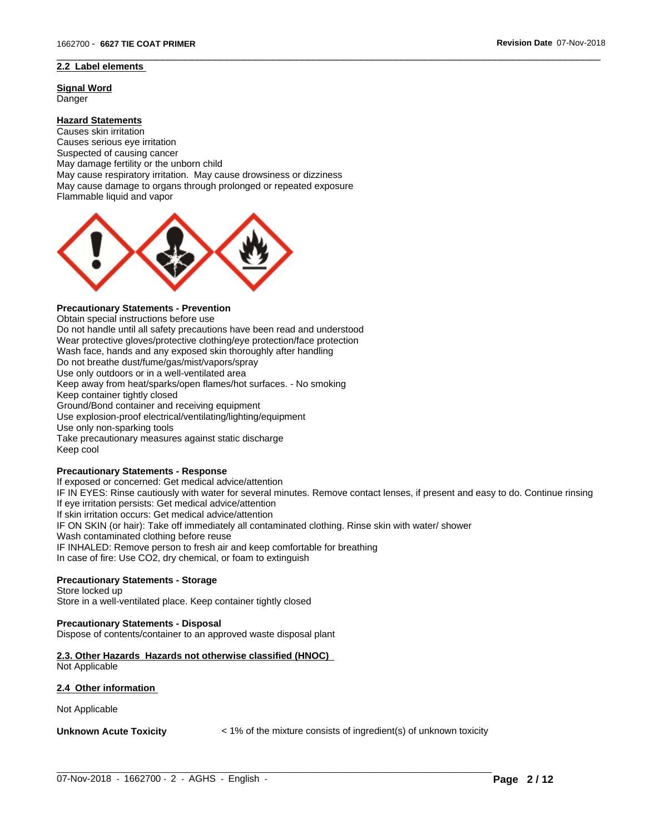## **2.2 Label elements**

**Signal Word** Danger

## **Hazard Statements**

Causes skin irritation Causes serious eye irritation Suspected of causing cancer May damage fertility or the unborn child May cause respiratory irritation. May cause drowsiness or dizziness May cause damage to organs through prolonged or repeated exposure Flammable liquid and vapor



## **Precautionary Statements - Prevention**

Obtain special instructions before use Do not handle until all safety precautions have been read and understood Wear protective gloves/protective clothing/eye protection/face protection Wash face, hands and any exposed skin thoroughly after handling Do not breathe dust/fume/gas/mist/vapors/spray Use only outdoors or in a well-ventilated area Keep away from heat/sparks/open flames/hot surfaces. - No smoking Keep container tightly closed Ground/Bond container and receiving equipment Use explosion-proof electrical/ventilating/lighting/equipment Use only non-sparking tools Take precautionary measures against static discharge Keep cool

## **Precautionary Statements - Response**

If exposed or concerned: Get medical advice/attention IF IN EYES: Rinse cautiously with water for several minutes. Remove contact lenses, if present and easy to do. Continue rinsing If eye irritation persists: Get medical advice/attention If skin irritation occurs: Get medical advice/attention IF ON SKIN (or hair): Take off immediately all contaminated clothing. Rinse skin with water/ shower Wash contaminated clothing before reuse IF INHALED: Remove person to fresh air and keep comfortable for breathing In case of fire: Use CO2, dry chemical, or foam to extinguish

 $\overline{\phantom{a}}$  ,  $\overline{\phantom{a}}$  ,  $\overline{\phantom{a}}$  ,  $\overline{\phantom{a}}$  ,  $\overline{\phantom{a}}$  ,  $\overline{\phantom{a}}$  ,  $\overline{\phantom{a}}$  ,  $\overline{\phantom{a}}$  ,  $\overline{\phantom{a}}$  ,  $\overline{\phantom{a}}$  ,  $\overline{\phantom{a}}$  ,  $\overline{\phantom{a}}$  ,  $\overline{\phantom{a}}$  ,  $\overline{\phantom{a}}$  ,  $\overline{\phantom{a}}$  ,  $\overline{\phantom{a}}$ 

## **Precautionary Statements - Storage**

## Store locked up Store in a well-ventilated place. Keep container tightly closed

#### **Precautionary Statements - Disposal**

Dispose of contents/container to an approved waste disposal plant

## **2.3. Other Hazards Hazards not otherwise classified (HNOC)**

Not Applicable

#### **2.4 Other information**

Not Applicable

**Unknown Acute Toxicity**  $\lt$  1% of the mixture consists of ingredient(s) of unknown toxicity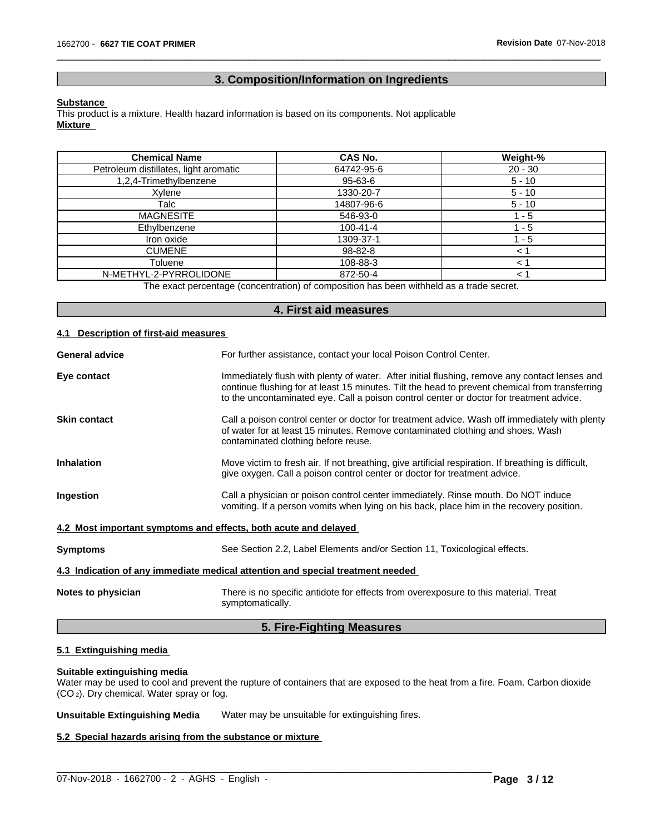## **3. Composition/Information on Ingredients**

 $\overline{\phantom{a}}$  ,  $\overline{\phantom{a}}$  ,  $\overline{\phantom{a}}$  ,  $\overline{\phantom{a}}$  ,  $\overline{\phantom{a}}$  ,  $\overline{\phantom{a}}$  ,  $\overline{\phantom{a}}$  ,  $\overline{\phantom{a}}$  ,  $\overline{\phantom{a}}$  ,  $\overline{\phantom{a}}$  ,  $\overline{\phantom{a}}$  ,  $\overline{\phantom{a}}$  ,  $\overline{\phantom{a}}$  ,  $\overline{\phantom{a}}$  ,  $\overline{\phantom{a}}$  ,  $\overline{\phantom{a}}$ 

#### **Substance**

This product is a mixture. Health hazard information is based on its components. Not applicable **Mixture**

| <b>Chemical Name</b>                  | CAS No.        | Weight-%  |
|---------------------------------------|----------------|-----------|
| Petroleum distillates, light aromatic | 64742-95-6     | $20 - 30$ |
| 1,2,4-Trimethylbenzene                | 95-63-6        | $5 - 10$  |
| Xvlene                                | 1330-20-7      | $5 - 10$  |
| Talc                                  | 14807-96-6     | $5 - 10$  |
| <b>MAGNESITE</b>                      | 546-93-0       | - 5       |
| Ethylbenzene                          | $100 - 41 - 4$ | ' - 5     |
| Iron oxide                            | 1309-37-1      | 1 - 5     |
| <b>CUMENE</b>                         | 98-82-8        | $<$ 1     |
| Toluene                               | 108-88-3       | < 1       |
| N-METHYL-2-PYRROLIDONE                | 872-50-4       | < 1       |

The exact percentage (concentration) of composition has been withheld as a trade secret.

|                                          | 4. First aid measures                                                                                                                                                                                                                                                                      |
|------------------------------------------|--------------------------------------------------------------------------------------------------------------------------------------------------------------------------------------------------------------------------------------------------------------------------------------------|
| <b>Description of first-aid measures</b> |                                                                                                                                                                                                                                                                                            |
| <b>General advice</b>                    | For further assistance, contact your local Poison Control Center.                                                                                                                                                                                                                          |
| Eye contact                              | Immediately flush with plenty of water. After initial flushing, remove any contact lenses and<br>continue flushing for at least 15 minutes. Tilt the head to prevent chemical from transferring<br>to the uncontaminated eye. Call a poison control center or doctor for treatment advice. |
| <b>Skin contact</b>                      | Call a poison control center or doctor for treatment advice. Wash off immediately with plenty<br>of water for at least 15 minutes. Remove contaminated clothing and shoes. Wash<br>contaminated clothing before reuse.                                                                     |
| <b>Inhalation</b>                        | Move victim to fresh air. If not breathing, give artificial respiration. If breathing is difficult,<br>give oxygen. Call a poison control center or doctor for treatment advice.                                                                                                           |
| Ingestion                                | Call a physician or poison control center immediately. Rinse mouth. Do NOT induce<br>vomiting. If a person vomits when lying on his back, place him in the recovery position.                                                                                                              |
|                                          | 4.2 Most important symptoms and effects, both acute and delayed                                                                                                                                                                                                                            |
| <b>Symptoms</b>                          | See Section 2.2, Label Elements and/or Section 11, Toxicological effects.                                                                                                                                                                                                                  |
|                                          | 4.3 Indication of any immediate medical attention and special treatment needed                                                                                                                                                                                                             |
| Notes to physician                       | There is no specific antidote for effects from overexposure to this material. Treat<br>symptomatically.                                                                                                                                                                                    |
|                                          | 5. Fire-Fighting Measures                                                                                                                                                                                                                                                                  |

## **5.1 Extinguishing media**

## **Suitable extinguishing media**

Water may be used to cool and prevent the rupture of containers that are exposed to the heat from a fire. Foam. Carbon dioxide (CO 2). Dry chemical. Water spray or fog.

**Unsuitable Extinguishing Media** Water may be unsuitable for extinguishing fires.

## **5.2 Special hazards arising from the substance or mixture**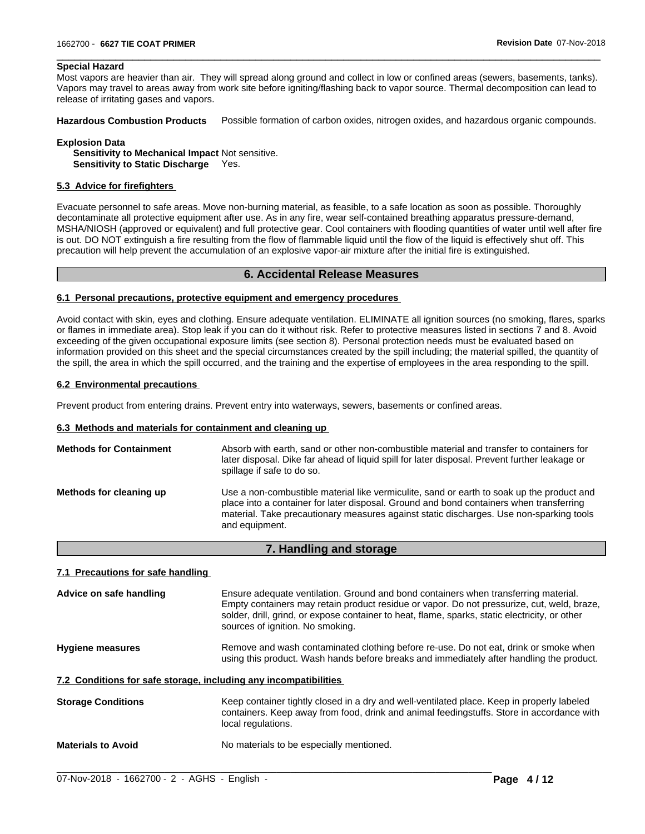## **Special Hazard**

Most vapors are heavier than air. They will spread along ground and collect in low or confined areas (sewers, basements, tanks). Vapors may travel to areas away from work site before igniting/flashing back to vapor source. Thermal decomposition can lead to release of irritating gases and vapors.

 $\overline{\phantom{a}}$  ,  $\overline{\phantom{a}}$  ,  $\overline{\phantom{a}}$  ,  $\overline{\phantom{a}}$  ,  $\overline{\phantom{a}}$  ,  $\overline{\phantom{a}}$  ,  $\overline{\phantom{a}}$  ,  $\overline{\phantom{a}}$  ,  $\overline{\phantom{a}}$  ,  $\overline{\phantom{a}}$  ,  $\overline{\phantom{a}}$  ,  $\overline{\phantom{a}}$  ,  $\overline{\phantom{a}}$  ,  $\overline{\phantom{a}}$  ,  $\overline{\phantom{a}}$  ,  $\overline{\phantom{a}}$ 

**Hazardous Combustion Products** Possible formation of carbon oxides, nitrogen oxides, and hazardous organic compounds.

**Explosion Data Sensitivity to Mechanical Impact** Not sensitive. **Sensitivity to Static Discharge** Yes.

## **5.3 Advice for firefighters**

Evacuate personnel to safe areas. Move non-burning material, as feasible, to a safe location as soon as possible. Thoroughly decontaminate all protective equipment after use. As in any fire, wear self-contained breathing apparatus pressure-demand, MSHA/NIOSH (approved or equivalent) and full protective gear. Cool containers with flooding quantities of water until well after fire is out. DO NOT extinguish a fire resulting from the flow of flammable liquid until the flow of the liquid iseffectively shut off. This precaution will help prevent the accumulation of an explosive vapor-air mixture after the initial fire is extinguished.

## **6. Accidental Release Measures**

#### **6.1 Personal precautions, protective equipment and emergency procedures**

Avoid contact with skin, eyes and clothing. Ensure adequate ventilation. ELIMINATE all ignition sources (no smoking, flares, sparks or flames in immediate area). Stop leak if you can do it without risk. Refer to protective measures listed in sections 7 and 8. Avoid exceeding of the given occupational exposure limits (see section 8). Personal protection needs must be evaluated based on information provided on this sheet and the special circumstances created by the spill including; the material spilled, the quantity of the spill, the area in which the spill occurred, and the training and the expertise of employees in the area responding to the spill.

## **6.2 Environmental precautions**

Prevent product from entering drains. Prevent entry into waterways, sewers, basements or confined areas.

#### **6.3 Methods and materials for containment and cleaning up**

| <b>Methods for Containment</b> | Absorb with earth, sand or other non-combustible material and transfer to containers for<br>later disposal. Dike far ahead of liquid spill for later disposal. Prevent further leakage or<br>spillage if safe to do so.                                                                           |
|--------------------------------|---------------------------------------------------------------------------------------------------------------------------------------------------------------------------------------------------------------------------------------------------------------------------------------------------|
| Methods for cleaning up        | Use a non-combustible material like vermiculite, sand or earth to soak up the product and<br>place into a container for later disposal. Ground and bond containers when transferring<br>material. Take precautionary measures against static discharges. Use non-sparking tools<br>and equipment. |

#### **7. Handling and storage**

## **7.1 Precautions for safe handling**

| Advice on safe handling                                          | Ensure adequate ventilation. Ground and bond containers when transferring material.<br>Empty containers may retain product residue or vapor. Do not pressurize, cut, weld, braze,<br>solder, drill, grind, or expose container to heat, flame, sparks, static electricity, or other<br>sources of ignition. No smoking. |
|------------------------------------------------------------------|-------------------------------------------------------------------------------------------------------------------------------------------------------------------------------------------------------------------------------------------------------------------------------------------------------------------------|
| <b>Hygiene measures</b>                                          | Remove and wash contaminated clothing before re-use. Do not eat, drink or smoke when<br>using this product. Wash hands before breaks and immediately after handling the product.                                                                                                                                        |
| 7.2 Conditions for safe storage, including any incompatibilities |                                                                                                                                                                                                                                                                                                                         |
| <b>Storage Conditions</b>                                        | Keep container tightly closed in a dry and well-ventilated place. Keep in properly labeled<br>containers. Keep away from food, drink and animal feedingstuffs. Store in accordance with<br>local regulations.                                                                                                           |
| <b>Materials to Avoid</b>                                        | No materials to be especially mentioned.                                                                                                                                                                                                                                                                                |
|                                                                  |                                                                                                                                                                                                                                                                                                                         |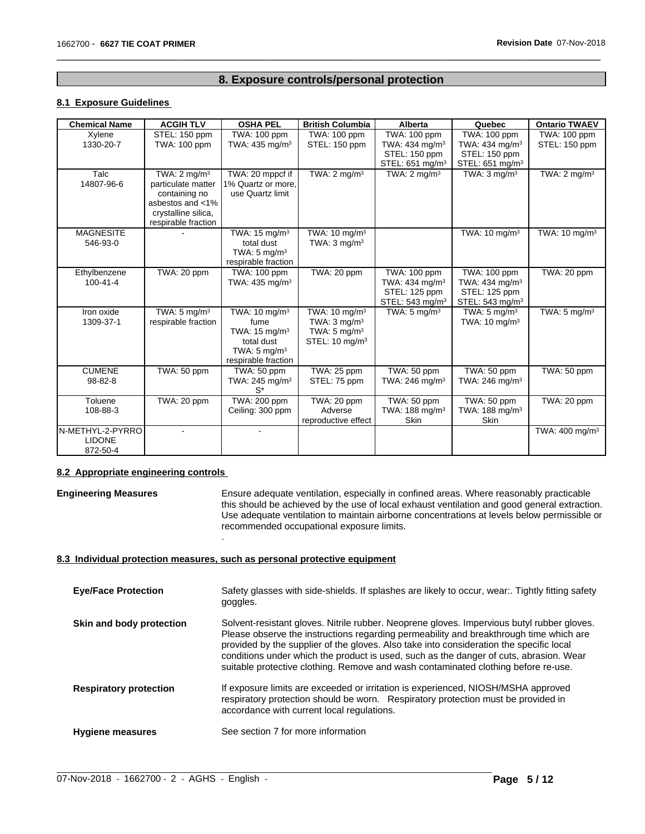## **8. Exposure controls/personal protection**

 $\overline{\phantom{a}}$  ,  $\overline{\phantom{a}}$  ,  $\overline{\phantom{a}}$  ,  $\overline{\phantom{a}}$  ,  $\overline{\phantom{a}}$  ,  $\overline{\phantom{a}}$  ,  $\overline{\phantom{a}}$  ,  $\overline{\phantom{a}}$  ,  $\overline{\phantom{a}}$  ,  $\overline{\phantom{a}}$  ,  $\overline{\phantom{a}}$  ,  $\overline{\phantom{a}}$  ,  $\overline{\phantom{a}}$  ,  $\overline{\phantom{a}}$  ,  $\overline{\phantom{a}}$  ,  $\overline{\phantom{a}}$ 

## **8.1 Exposure Guidelines**

| <b>Chemical Name</b> | <b>ACGIH TLV</b>        | <b>OSHA PEL</b>            | <b>British Columbia</b>   | Alberta                     | Quebec                      | <b>Ontario TWAEV</b>       |
|----------------------|-------------------------|----------------------------|---------------------------|-----------------------------|-----------------------------|----------------------------|
| Xylene               | STEL: 150 ppm           | TWA: 100 ppm               | TWA: 100 ppm              | TWA: 100 ppm                | TWA: 100 ppm                | TWA: 100 ppm               |
| 1330-20-7            | TWA: 100 ppm            | TWA: 435 mg/m <sup>3</sup> | STEL: 150 ppm             | TWA: 434 mg/m <sup>3</sup>  | TWA: 434 mg/m <sup>3</sup>  | STEL: 150 ppm              |
|                      |                         |                            |                           | STEL: 150 ppm               | STEL: 150 ppm               |                            |
|                      |                         |                            |                           | STEL: 651 mg/m <sup>3</sup> | STEL: 651 mg/m <sup>3</sup> |                            |
| Talc                 | TWA: $2 \text{ mg/m}^3$ | TWA: 20 mppcf if           | TWA: $2 \text{ mq/m}^3$   | TWA: $2 \text{ mg/m}^3$     | TWA: $3 \text{ mg/m}^3$     | TWA: $2 \text{ mg/m}^3$    |
| 14807-96-6           | particulate matter      | 1% Quartz or more,         |                           |                             |                             |                            |
|                      | containing no           | use Quartz limit           |                           |                             |                             |                            |
|                      | asbestos and <1%        |                            |                           |                             |                             |                            |
|                      | crystalline silica,     |                            |                           |                             |                             |                            |
|                      | respirable fraction     |                            |                           |                             |                             |                            |
| <b>MAGNESITE</b>     |                         | TWA: 15 mg/m <sup>3</sup>  | TWA: 10 mg/m <sup>3</sup> |                             | TWA: 10 mg/m <sup>3</sup>   | TWA: 10 mg/m <sup>3</sup>  |
| 546-93-0             |                         | total dust                 | TWA: $3 \text{ mg/m}^3$   |                             |                             |                            |
|                      |                         | TWA: $5 \text{ ma/m}^3$    |                           |                             |                             |                            |
|                      |                         | respirable fraction        |                           |                             |                             |                            |
| Ethylbenzene         | TWA: 20 ppm             | TWA: 100 ppm               | TWA: 20 ppm               | TWA: 100 ppm                | TWA: 100 ppm                | TWA: 20 ppm                |
| $100 - 41 - 4$       |                         | TWA: $435 \text{ mg/m}^3$  |                           | TWA: 434 mg/m <sup>3</sup>  | TWA: 434 mg/m <sup>3</sup>  |                            |
|                      |                         |                            |                           | STEL: 125 ppm               | STEL: 125 ppm               |                            |
|                      |                         |                            |                           | STEL: 543 mg/m <sup>3</sup> | STEL: $543 \text{ mg/m}^3$  |                            |
| Iron oxide           | TWA: $5 \text{ mg/m}^3$ | TWA: 10 mg/m <sup>3</sup>  | TWA: 10 mg/m <sup>3</sup> | TWA: $5 \text{ mg/m}^3$     | TWA: $5 \text{ mg/m}^3$     | TWA: $5 \text{ mg/m}^3$    |
| 1309-37-1            | respirable fraction     | fume                       | TWA: $3 \text{ mg/m}^3$   |                             | TWA: $10 \text{ mg/m}^3$    |                            |
|                      |                         | TWA: 15 mg/m <sup>3</sup>  | TWA: $5 \text{ mg/m}^3$   |                             |                             |                            |
|                      |                         | total dust                 | STEL: $10 \text{ mg/m}^3$ |                             |                             |                            |
|                      |                         | TWA: $5 \text{ mg/m}^3$    |                           |                             |                             |                            |
|                      |                         | respirable fraction        |                           |                             |                             |                            |
| <b>CUMENE</b>        | TWA: 50 ppm             | TWA: 50 ppm                | TWA: 25 ppm               | TWA: 50 ppm                 | TWA: 50 ppm                 | TWA: 50 ppm                |
| 98-82-8              |                         | TWA: 245 mg/m <sup>3</sup> | STEL: 75 ppm              | TWA: 246 mg/m <sup>3</sup>  | TWA: 246 mg/m <sup>3</sup>  |                            |
|                      |                         | $S^*$                      |                           |                             |                             |                            |
| Toluene              | TWA: 20 ppm             | TWA: 200 ppm               | <b>TWA: 20 ppm</b>        | TWA: 50 ppm                 | TWA: 50 ppm                 | TWA: 20 ppm                |
| 108-88-3             |                         | Ceiling: 300 ppm           | Adverse                   | TWA: 188 mg/m <sup>3</sup>  | TWA: 188 mg/m <sup>3</sup>  |                            |
|                      |                         |                            | reproductive effect       | Skin                        | <b>Skin</b>                 |                            |
| N-METHYL-2-PYRRO     |                         |                            |                           |                             |                             | TWA: 400 mg/m <sup>3</sup> |
| <b>LIDONE</b>        |                         |                            |                           |                             |                             |                            |
| 872-50-4             |                         |                            |                           |                             |                             |                            |

## **8.2 Appropriate engineering controls**

**Engineering Measures** Ensure adequate ventilation, especially in confined areas. Where reasonably practicable this should be achieved by the use of local exhaust ventilation and good general extraction. Use adequate ventilation to maintain airborne concentrations at levels below permissible or recommended occupational exposure limits.

## **8.3 Individual protection measures, such as personal protective equipment**

.

| <b>Eye/Face Protection</b>    | Safety glasses with side-shields. If splashes are likely to occur, wear Tightly fitting safety<br>goggles.                                                                                                                                                                                                                                                                                                                                                      |
|-------------------------------|-----------------------------------------------------------------------------------------------------------------------------------------------------------------------------------------------------------------------------------------------------------------------------------------------------------------------------------------------------------------------------------------------------------------------------------------------------------------|
| Skin and body protection      | Solvent-resistant gloves. Nitrile rubber. Neoprene gloves. Impervious butyl rubber gloves.<br>Please observe the instructions regarding permeability and breakthrough time which are<br>provided by the supplier of the gloves. Also take into consideration the specific local<br>conditions under which the product is used, such as the danger of cuts, abrasion. Wear<br>suitable protective clothing. Remove and wash contaminated clothing before re-use. |
| <b>Respiratory protection</b> | If exposure limits are exceeded or irritation is experienced, NIOSH/MSHA approved<br>respiratory protection should be worn. Respiratory protection must be provided in<br>accordance with current local regulations.                                                                                                                                                                                                                                            |
| <b>Hygiene measures</b>       | See section 7 for more information                                                                                                                                                                                                                                                                                                                                                                                                                              |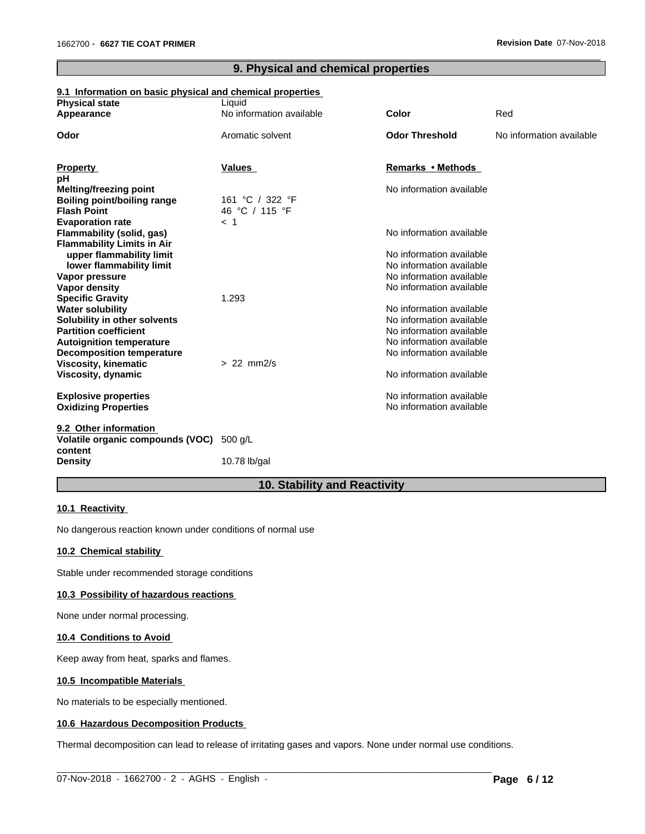## **9. Physical and chemical properties**

 $\overline{\phantom{a}}$  ,  $\overline{\phantom{a}}$  ,  $\overline{\phantom{a}}$  ,  $\overline{\phantom{a}}$  ,  $\overline{\phantom{a}}$  ,  $\overline{\phantom{a}}$  ,  $\overline{\phantom{a}}$  ,  $\overline{\phantom{a}}$  ,  $\overline{\phantom{a}}$  ,  $\overline{\phantom{a}}$  ,  $\overline{\phantom{a}}$  ,  $\overline{\phantom{a}}$  ,  $\overline{\phantom{a}}$  ,  $\overline{\phantom{a}}$  ,  $\overline{\phantom{a}}$  ,  $\overline{\phantom{a}}$ 

## **9.1 Information on basic physical and chemical properties**

| <b>Physical state</b>                                           | Liquid                            |                                                      |                          |
|-----------------------------------------------------------------|-----------------------------------|------------------------------------------------------|--------------------------|
| Appearance                                                      | No information available          | Color                                                | Red                      |
| Odor                                                            | Aromatic solvent                  | <b>Odor Threshold</b>                                | No information available |
|                                                                 |                                   |                                                      |                          |
| <b>Property</b>                                                 | <b>Values</b>                     | Remarks • Methods                                    |                          |
| рH                                                              |                                   |                                                      |                          |
| <b>Melting/freezing point</b>                                   |                                   | No information available                             |                          |
| <b>Boiling point/boiling range</b><br><b>Flash Point</b>        | 161 °C / 322 °F<br>46 °C / 115 °F |                                                      |                          |
| <b>Evaporation rate</b>                                         | $<$ 1                             |                                                      |                          |
| Flammability (solid, gas)                                       |                                   | No information available                             |                          |
| <b>Flammability Limits in Air</b>                               |                                   |                                                      |                          |
| upper flammability limit                                        |                                   | No information available                             |                          |
| lower flammability limit                                        |                                   | No information available                             |                          |
| Vapor pressure                                                  |                                   | No information available                             |                          |
| <b>Vapor density</b>                                            |                                   | No information available                             |                          |
| <b>Specific Gravity</b>                                         | 1.293                             |                                                      |                          |
| <b>Water solubility</b>                                         |                                   | No information available                             |                          |
| Solubility in other solvents                                    |                                   | No information available                             |                          |
| <b>Partition coefficient</b>                                    |                                   | No information available                             |                          |
| <b>Autoignition temperature</b>                                 |                                   | No information available<br>No information available |                          |
| <b>Decomposition temperature</b><br><b>Viscosity, kinematic</b> | $> 22$ mm $2/s$                   |                                                      |                          |
| Viscosity, dynamic                                              |                                   | No information available                             |                          |
| <b>Explosive properties</b>                                     |                                   | No information available                             |                          |
| <b>Oxidizing Properties</b>                                     |                                   | No information available                             |                          |
| 9.2 Other information                                           |                                   |                                                      |                          |
| Volatile organic compounds (VOC)<br>content                     | 500 g/L                           |                                                      |                          |
| <b>Density</b>                                                  | 10.78 lb/gal                      |                                                      |                          |
|                                                                 |                                   |                                                      |                          |

## **10. Stability and Reactivity**

#### **10.1 Reactivity**

No dangerous reaction known under conditions of normal use

## **10.2 Chemical stability**

Stable under recommended storage conditions

#### **10.3 Possibility of hazardous reactions**

None under normal processing.

## **10.4 Conditions to Avoid**

Keep away from heat, sparks and flames.

## **10.5 Incompatible Materials**

No materials to be especially mentioned.

## **10.6 Hazardous Decomposition Products**

Thermal decomposition can lead to release of irritating gases and vapors. None under normal use conditions.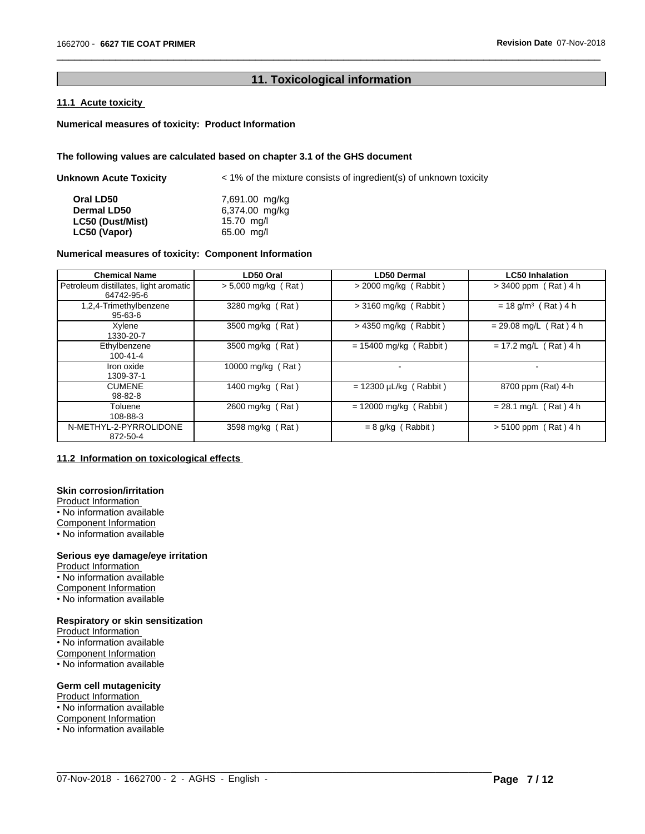## **11. Toxicological information**

 $\overline{\phantom{a}}$  ,  $\overline{\phantom{a}}$  ,  $\overline{\phantom{a}}$  ,  $\overline{\phantom{a}}$  ,  $\overline{\phantom{a}}$  ,  $\overline{\phantom{a}}$  ,  $\overline{\phantom{a}}$  ,  $\overline{\phantom{a}}$  ,  $\overline{\phantom{a}}$  ,  $\overline{\phantom{a}}$  ,  $\overline{\phantom{a}}$  ,  $\overline{\phantom{a}}$  ,  $\overline{\phantom{a}}$  ,  $\overline{\phantom{a}}$  ,  $\overline{\phantom{a}}$  ,  $\overline{\phantom{a}}$ 

## **11.1 Acute toxicity**

## **Numerical measures of toxicity: Product Information**

## **The following values are calculated based on chapter 3.1 of the GHS document**

| Unknown Acute Toxicity | $\leq$ 1% of the mixture consists of ingredient(s) of unknown toxicity |
|------------------------|------------------------------------------------------------------------|
| Oral LD50              | 7,691.00 mg/kg                                                         |
| <b>Dermal LD50</b>     | 6,374.00 mg/kg                                                         |
| LC50 (Dust/Mist)       | 15.70 $mg/l$                                                           |
| LC50 (Vapor)           | 65.00 mg/l                                                             |

## **Numerical measures of toxicity: Component Information**

| <b>Chemical Name</b>                                | LD50 Oral             | LD50 Dermal                 | <b>LC50 Inhalation</b>            |
|-----------------------------------------------------|-----------------------|-----------------------------|-----------------------------------|
| Petroleum distillates, light aromatic<br>64742-95-6 | $> 5,000$ mg/kg (Rat) | $>$ 2000 mg/kg (Rabbit)     | $> 3400$ ppm (Rat) 4 h            |
| 1,2,4-Trimethylbenzene<br>$95 - 63 - 6$             | 3280 mg/kg (Rat)      | $>$ 3160 mg/kg (Rabbit)     | $= 18$ g/m <sup>3</sup> (Rat) 4 h |
| Xylene<br>1330-20-7                                 | 3500 mg/kg (Rat)      | $>$ 4350 mg/kg (Rabbit)     | $= 29.08$ mg/L (Rat) 4 h          |
| Ethylbenzene<br>$100 - 41 - 4$                      | 3500 mg/kg (Rat)      | $= 15400$ mg/kg (Rabbit)    | $= 17.2$ mg/L (Rat) 4 h           |
| Iron oxide<br>1309-37-1                             | 10000 mg/kg (Rat)     |                             |                                   |
| <b>CUMENE</b><br>98-82-8                            | 1400 mg/kg (Rat)      | $= 12300 \mu L/kg$ (Rabbit) | 8700 ppm (Rat) 4-h                |
| Toluene<br>108-88-3                                 | 2600 mg/kg (Rat)      | $= 12000$ mg/kg (Rabbit)    | $= 28.1$ mg/L (Rat) 4 h           |
| N-METHYL-2-PYRROLIDONE<br>872-50-4                  | 3598 mg/kg (Rat)      | $= 8$ g/kg (Rabbit)         | $> 5100$ ppm (Rat) 4 h            |

 $\_$  ,  $\_$  ,  $\_$  ,  $\_$  ,  $\_$  ,  $\_$  ,  $\_$  ,  $\_$  ,  $\_$  ,  $\_$  ,  $\_$  ,  $\_$  ,  $\_$  ,  $\_$  ,  $\_$  ,  $\_$  ,  $\_$  ,  $\_$  ,  $\_$  ,  $\_$  ,  $\_$  ,  $\_$  ,  $\_$  ,  $\_$  ,  $\_$  ,  $\_$  ,  $\_$  ,  $\_$  ,  $\_$  ,  $\_$  ,  $\_$  ,  $\_$  ,  $\_$  ,  $\_$  ,  $\_$  ,  $\_$  ,  $\_$  ,

## **11.2 Information on toxicologicaleffects**

## **Skin corrosion/irritation**

Product Information • No information available Component Information

• No information available

## **Serious eye damage/eye irritation**

Product Information • No information available Component Information • No information available

## **Respiratory or skin sensitization**

Product Information • No information available Component Information • No information available

#### **Germ cell mutagenicity**

Product Information • No information available Component Information • No information available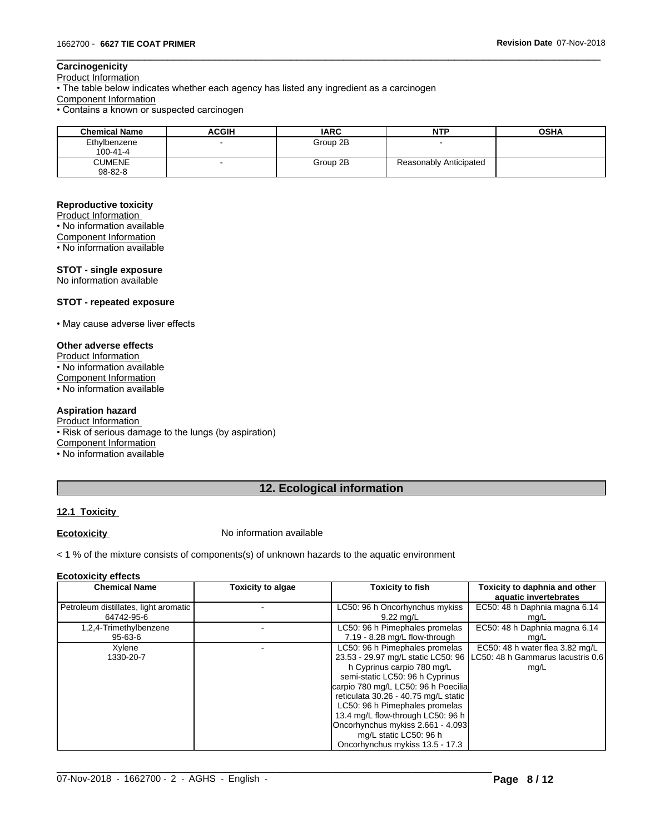## **Carcinogenicity**

Product Information

• The table below indicates whether each agency has listed any ingredient as a carcinogen

Component Information

• Contains a known or suspected carcinogen

| <b>Chemical Name</b>           | <b>ACGIH</b> | <b>IARC</b> | <b>NTP</b>             | <b>OSHA</b> |
|--------------------------------|--------------|-------------|------------------------|-------------|
| Ethylbenzene<br>100-41-4       |              | Group 2B    |                        |             |
| <b>CUMENE</b><br>$98 - 82 - 8$ |              | Group 2B    | Reasonably Anticipated |             |

 $\overline{\phantom{a}}$  ,  $\overline{\phantom{a}}$  ,  $\overline{\phantom{a}}$  ,  $\overline{\phantom{a}}$  ,  $\overline{\phantom{a}}$  ,  $\overline{\phantom{a}}$  ,  $\overline{\phantom{a}}$  ,  $\overline{\phantom{a}}$  ,  $\overline{\phantom{a}}$  ,  $\overline{\phantom{a}}$  ,  $\overline{\phantom{a}}$  ,  $\overline{\phantom{a}}$  ,  $\overline{\phantom{a}}$  ,  $\overline{\phantom{a}}$  ,  $\overline{\phantom{a}}$  ,  $\overline{\phantom{a}}$ 

## **Reproductive toxicity**

Product Information • No information available Component Information

• No information available

## **STOT - single exposure**

No information available

## **STOT - repeated exposure**

• May cause adverse liver effects

## **Other adverse effects**

Product Information

• No information available

Component Information • No information available

## **Aspiration hazard**

Product Information • Risk of serious damage to the lungs (by aspiration) Component Information • No information available

## **12. Ecological information**

## **12.1 Toxicity**

**Ecotoxicity No information available** 

< 1 % of the mixture consists of components(s) of unknown hazards to the aquatic environment

#### **Ecotoxicity effects**

| <b>Chemical Name</b>                  | <b>Toxicity to algae</b> | <b>Toxicity to fish</b>                                                                                                                                                                                                                                                                                                                                                                       | Toxicity to daphnia and other<br>aquatic invertebrates                                  |
|---------------------------------------|--------------------------|-----------------------------------------------------------------------------------------------------------------------------------------------------------------------------------------------------------------------------------------------------------------------------------------------------------------------------------------------------------------------------------------------|-----------------------------------------------------------------------------------------|
| Petroleum distillates, light aromatic |                          | LC50: 96 h Oncorhynchus mykiss                                                                                                                                                                                                                                                                                                                                                                | EC50: 48 h Daphnia magna 6.14                                                           |
| 64742-95-6                            |                          | $9.22 \text{ mq/L}$                                                                                                                                                                                                                                                                                                                                                                           | mg/L                                                                                    |
| 1,2,4-Trimethylbenzene                |                          | LC50: 96 h Pimephales promelas                                                                                                                                                                                                                                                                                                                                                                | EC50: 48 h Daphnia magna 6.14                                                           |
| 95-63-6                               |                          | 7.19 - 8.28 mg/L flow-through                                                                                                                                                                                                                                                                                                                                                                 | mg/L                                                                                    |
| Xylene<br>1330-20-7                   |                          | LC50: 96 h Pimephales promelas<br>23.53 - 29.97 mg/L static LC50: 96<br>h Cyprinus carpio 780 mg/L<br>semi-static LC50: 96 h Cyprinus<br>carpio 780 mg/L LC50: 96 h Poecilia<br>reticulata 30.26 - 40.75 mg/L static<br>LC50: 96 h Pimephales promelas<br>13.4 mg/L flow-through LC50: 96 h<br>Oncorhynchus mykiss 2.661 - 4.093<br>mg/L static LC50: 96 h<br>Oncorhynchus mykiss 13.5 - 17.3 | EC50: 48 h water flea $3.82 \text{ mg/L}$<br>LLC50: 48 h Gammarus lacustris 0.6<br>mg/L |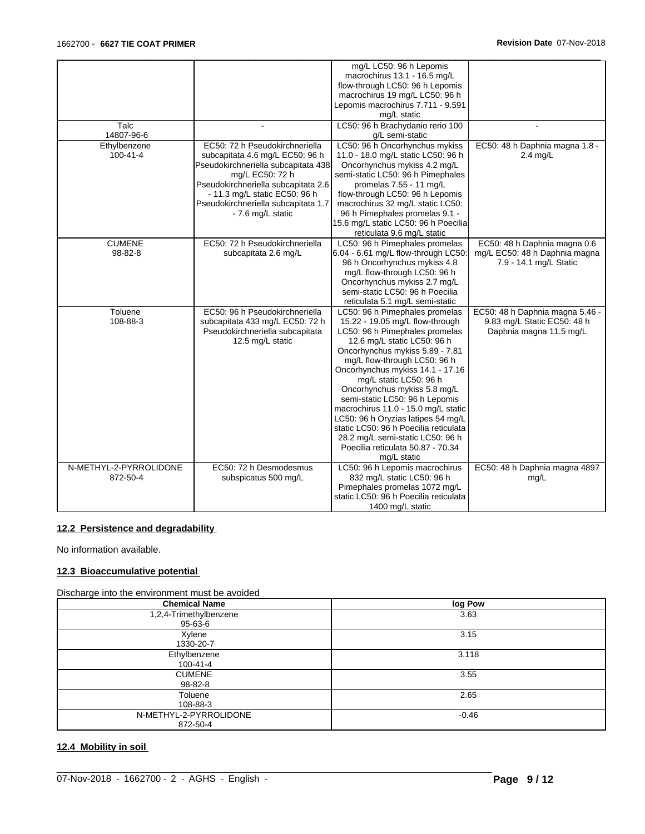| Talc<br>14807-96-6<br>Ethylbenzene<br>100-41-4 | ÷.<br>EC50: 72 h Pseudokirchneriella<br>subcapitata 4.6 mg/L EC50: 96 h<br>Pseudokirchneriella subcapitata 438<br>mg/L EC50: 72 h<br>Pseudokirchneriella subcapitata 2.6<br>- 11.3 mg/L static EC50: 96 h | mg/L LC50: 96 h Lepomis<br>macrochirus 13.1 - 16.5 mg/L<br>flow-through LC50: 96 h Lepomis<br>macrochirus 19 mg/L LC50: 96 h<br>Lepomis macrochirus 7.711 - 9.591<br>mg/L static<br>LC50: 96 h Brachydanio rerio 100<br>g/L semi-static<br>LC50: 96 h Oncorhynchus mykiss<br>11.0 - 18.0 mg/L static LC50: 96 h<br>Oncorhynchus mykiss 4.2 mg/L<br>semi-static LC50: 96 h Pimephales<br>promelas 7.55 - 11 mg/L<br>flow-through LC50: 96 h Lepomis                                                                                                  | $\overline{a}$<br>EC50: 48 h Daphnia magna 1.8 -<br>$2.4$ mg/L                            |
|------------------------------------------------|-----------------------------------------------------------------------------------------------------------------------------------------------------------------------------------------------------------|-----------------------------------------------------------------------------------------------------------------------------------------------------------------------------------------------------------------------------------------------------------------------------------------------------------------------------------------------------------------------------------------------------------------------------------------------------------------------------------------------------------------------------------------------------|-------------------------------------------------------------------------------------------|
|                                                | Pseudokirchneriella subcapitata 1.7<br>- 7.6 mg/L static                                                                                                                                                  | macrochirus 32 mg/L static LC50:<br>96 h Pimephales promelas 9.1 -<br>15.6 mg/L static LC50: 96 h Poecilia<br>reticulata 9.6 mg/L static                                                                                                                                                                                                                                                                                                                                                                                                            |                                                                                           |
| <b>CUMENE</b><br>98-82-8                       | EC50: 72 h Pseudokirchneriella<br>subcapitata 2.6 mg/L                                                                                                                                                    | LC50: 96 h Pimephales promelas<br>6.04 - 6.61 mg/L flow-through LC50:<br>96 h Oncorhynchus mykiss 4.8<br>mg/L flow-through LC50: 96 h<br>Oncorhynchus mykiss 2.7 mg/L<br>semi-static LC50: 96 h Poecilia<br>reticulata 5.1 mg/L semi-static                                                                                                                                                                                                                                                                                                         | EC50: 48 h Daphnia magna 0.6<br>mg/L EC50: 48 h Daphnia magna<br>7.9 - 14.1 mg/L Static   |
| Toluene<br>108-88-3                            | EC50: 96 h Pseudokirchneriella<br>subcapitata 433 mg/L EC50: 72 h<br>Pseudokirchneriella subcapitata<br>12.5 mg/L static                                                                                  | LC50: 96 h Pimephales promelas<br>15.22 - 19.05 mg/L flow-through<br>LC50: 96 h Pimephales promelas<br>12.6 mg/L static LC50: 96 h<br>Oncorhynchus mykiss 5.89 - 7.81<br>mg/L flow-through LC50: 96 h<br>Oncorhynchus mykiss 14.1 - 17.16<br>mg/L static LC50: 96 h<br>Oncorhynchus mykiss 5.8 mg/L<br>semi-static LC50: 96 h Lepomis<br>macrochirus 11.0 - 15.0 mg/L static<br>LC50: 96 h Oryzias latipes 54 mg/L<br>static LC50: 96 h Poecilia reticulata<br>28.2 mg/L semi-static LC50: 96 h<br>Poecilia reticulata 50.87 - 70.34<br>mg/L static | EC50: 48 h Daphnia magna 5.46 -<br>9.83 mg/L Static EC50: 48 h<br>Daphnia magna 11.5 mg/L |
| N-METHYL-2-PYRROLIDONE<br>872-50-4             | EC50: 72 h Desmodesmus<br>subspicatus 500 mg/L                                                                                                                                                            | LC50: 96 h Lepomis macrochirus<br>832 mg/L static LC50: 96 h<br>Pimephales promelas 1072 mg/L<br>static LC50: 96 h Poecilia reticulata<br>1400 mg/L static                                                                                                                                                                                                                                                                                                                                                                                          | EC50: 48 h Daphnia magna 4897<br>mg/L                                                     |

## **12.2 Persistence and degradability**

No information available.

## **12.3 Bioaccumulative potential**

#### Discharge into the environment must be avoided

| <b>Chemical Name</b>   | log Pow |
|------------------------|---------|
| 1,2,4-Trimethylbenzene | 3.63    |
| 95-63-6                |         |
| Xylene                 | 3.15    |
| 1330-20-7              |         |
| Ethylbenzene           | 3.118   |
| 100-41-4               |         |
| <b>CUMENE</b>          | 3.55    |
| 98-82-8                |         |
| Toluene                | 2.65    |
| 108-88-3               |         |
| N-METHYL-2-PYRROLIDONE | $-0.46$ |
| 872-50-4               |         |

 $\_$  ,  $\_$  ,  $\_$  ,  $\_$  ,  $\_$  ,  $\_$  ,  $\_$  ,  $\_$  ,  $\_$  ,  $\_$  ,  $\_$  ,  $\_$  ,  $\_$  ,  $\_$  ,  $\_$  ,  $\_$  ,  $\_$  ,  $\_$  ,  $\_$  ,  $\_$  ,  $\_$  ,  $\_$  ,  $\_$  ,  $\_$  ,  $\_$  ,  $\_$  ,  $\_$  ,  $\_$  ,  $\_$  ,  $\_$  ,  $\_$  ,  $\_$  ,  $\_$  ,  $\_$  ,  $\_$  ,  $\_$  ,  $\_$  ,

## **12.4 Mobility in soil**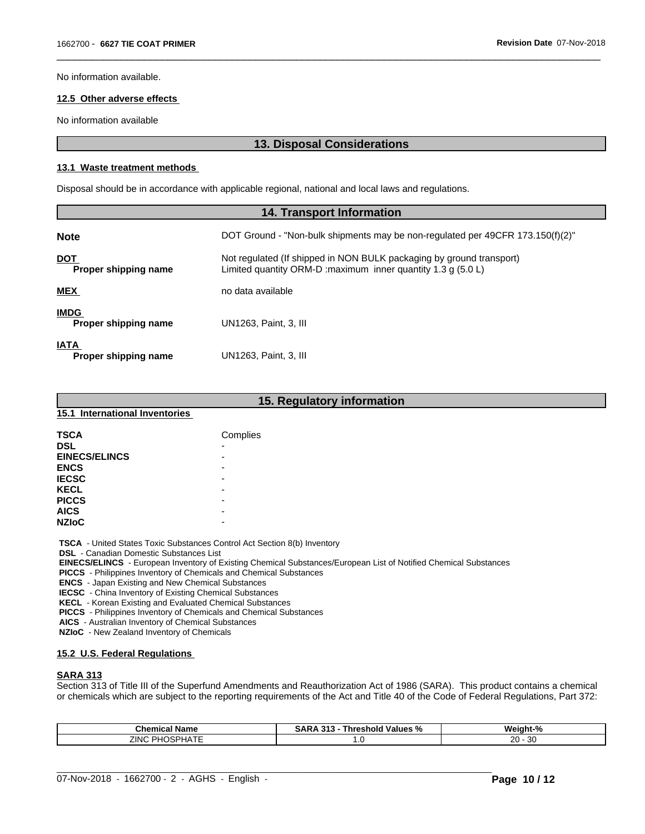No information available.

## **12.5 Other adverse effects**

No information available

## **13. Disposal Considerations**

 $\overline{\phantom{a}}$  ,  $\overline{\phantom{a}}$  ,  $\overline{\phantom{a}}$  ,  $\overline{\phantom{a}}$  ,  $\overline{\phantom{a}}$  ,  $\overline{\phantom{a}}$  ,  $\overline{\phantom{a}}$  ,  $\overline{\phantom{a}}$  ,  $\overline{\phantom{a}}$  ,  $\overline{\phantom{a}}$  ,  $\overline{\phantom{a}}$  ,  $\overline{\phantom{a}}$  ,  $\overline{\phantom{a}}$  ,  $\overline{\phantom{a}}$  ,  $\overline{\phantom{a}}$  ,  $\overline{\phantom{a}}$ 

## **13.1 Waste treatment methods**

Disposal should be in accordance with applicable regional, national and local laws and regulations.

| <b>14. Transport Information</b>    |                                                                                                                                                 |  |
|-------------------------------------|-------------------------------------------------------------------------------------------------------------------------------------------------|--|
| <b>Note</b>                         | DOT Ground - "Non-bulk shipments may be non-regulated per 49CFR 173.150(f)(2)"                                                                  |  |
| <b>DOT</b><br>Proper shipping name  | Not regulated (If shipped in NON BULK packaging by ground transport)<br>Limited quantity ORM-D : maximum inner quantity 1.3 g $(5.0 \text{ L})$ |  |
| <b>MEX</b>                          | no data available                                                                                                                               |  |
| <b>IMDG</b><br>Proper shipping name | UN1263. Paint. 3. III                                                                                                                           |  |
| <b>IATA</b><br>Proper shipping name | UN1263, Paint, 3, III                                                                                                                           |  |

|                                | 15. Regulatory information |
|--------------------------------|----------------------------|
| 15.1 International Inventories |                            |
| <b>TSCA</b>                    | Complies                   |
| <b>DSL</b>                     |                            |
| <b>EINECS/ELINCS</b>           |                            |
| <b>ENCS</b>                    |                            |
| <b>IECSC</b>                   | -                          |
| <b>KECL</b>                    |                            |
| <b>PICCS</b>                   | -                          |
| <b>AICS</b>                    | -                          |
| <b>NZIOC</b>                   |                            |

 **TSCA** - United States Toxic Substances Control Act Section 8(b) Inventory

 **DSL** - Canadian Domestic Substances List

 **EINECS/ELINCS** - European Inventory of Existing Chemical Substances/European List of Notified Chemical Substances

 **PICCS** - Philippines Inventory of Chemicals and Chemical Substances

 **ENCS** - Japan Existing and New Chemical Substances

 **IECSC** - China Inventory of Existing Chemical Substances

 **KECL** - Korean Existing and Evaluated Chemical Substances

 **PICCS** - Philippines Inventory of Chemicals and Chemical Substances

 **AICS** - Australian Inventory of Chemical Substances

 **NZIoC** - New Zealand Inventory of Chemicals

## **15.2 U.S. Federal Regulations**

## **SARA 313**

Section 313 of Title III of the Superfund Amendments and Reauthorization Act of 1986 (SARA). This product contains a chemical or chemicals which are subject to the reporting requirements of the Act and Title 40 of the Code of Federal Regulations, Part 372:

| Chemical<br>∵Name                        | 24<br>-----<br>Values.<br><b>Inresnoid</b><br>o I.<br>o. | Weight-<br>70  |  |
|------------------------------------------|----------------------------------------------------------|----------------|--|
| $\cdots$<br>ZINO<br>ז⊔כ<br>~<br>וכ.<br>. | . . ب                                                    | ാറ<br>30<br>∠∪ |  |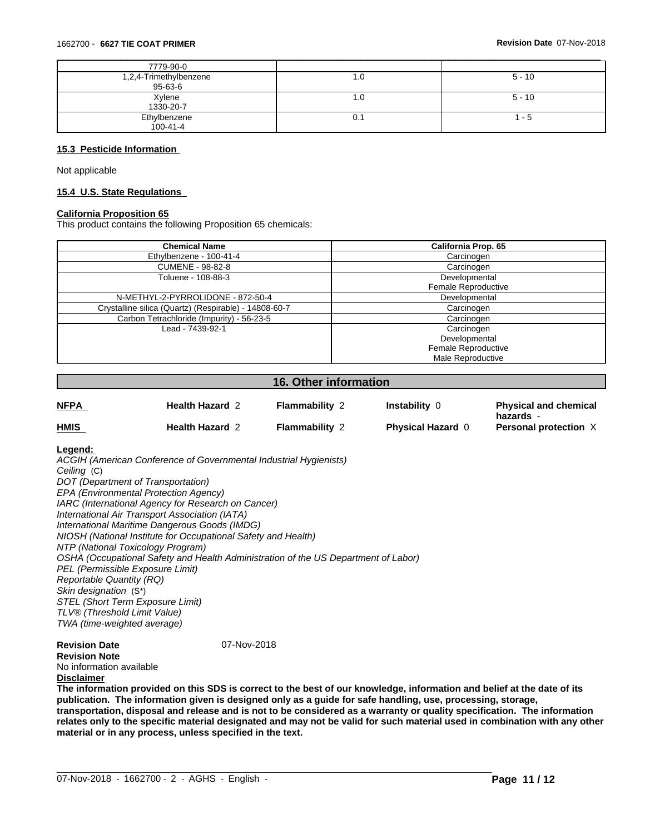| 7779-90-0                         |     |          |
|-----------------------------------|-----|----------|
| 1,2,4-Trimethylbenzene<br>95-63-6 | 1.U | $5 - 10$ |
| Xylene<br>1330-20-7               | 1.0 | $5 - 10$ |
| Ethylbenzene<br>100-41-4          | 0.1 | - 5      |

## **15.3 Pesticide Information**

Not applicable

#### **15.4 U.S. State Regulations**

## **California Proposition 65**

This product contains the following Proposition 65 chemicals:

| <b>Chemical Name</b>                                  | <b>California Prop. 65</b> |
|-------------------------------------------------------|----------------------------|
| Ethylbenzene - 100-41-4                               | Carcinogen                 |
| <b>CUMENE - 98-82-8</b>                               | Carcinogen                 |
| Toluene - 108-88-3                                    | Developmental              |
|                                                       | <b>Female Reproductive</b> |
| N-METHYL-2-PYRROLIDONE - 872-50-4                     | Developmental              |
| Crystalline silica (Quartz) (Respirable) - 14808-60-7 | Carcinogen                 |
| Carbon Tetrachloride (Impurity) - 56-23-5             | Carcinogen                 |
| Lead - 7439-92-1                                      | Carcinogen                 |
|                                                       | Developmental              |
|                                                       | Female Reproductive        |
|                                                       | Male Reproductive          |

## **16. Other information**

| <u>NFPA</u> | <b>Health Hazard 2</b> | $\blacksquare$ ammability $\lambda$ | Instability            | <b>Physical and chemical</b><br>hazards - |
|-------------|------------------------|-------------------------------------|------------------------|-------------------------------------------|
| <b>HMIS</b> | <b>Health Hazard 2</b> | Flammability 2                      | <b>Physical Hazard</b> | Personal protection $\lambda$             |

## **Legend:**

*ACGIH (American Conference of Governmental Industrial Hygienists) Ceiling* (C) *DOT (Department of Transportation) EPA (Environmental Protection Agency) IARC (International Agency for Research on Cancer) International Air Transport Association (IATA) International Maritime Dangerous Goods (IMDG) NIOSH (National Institute for Occupational Safety and Health) NTP (National Toxicology Program) OSHA (Occupational Safety and Health Administration of the US Department of Labor) PEL (Permissible Exposure Limit) Reportable Quantity (RQ) Skin designation* (S\*) *STEL (Short Term Exposure Limit) TLV® (Threshold Limit Value) TWA (time-weighted average)*

## **Revision Date** 07-Nov-2018

**Revision Note** No information available **Disclaimer**

The information provided on this SDS is correct to the best of our knowledge, information and belief at the date of its **publication. The information given isdesigned only as a guide for safe handling, use, processing, storage,** transportation, disposal and release and is not to be considered as a warranty or quality specification. The information relates only to the specific material designated and may not be valid for such material used in combination with any other **material or in any process,unless specified in the text.**